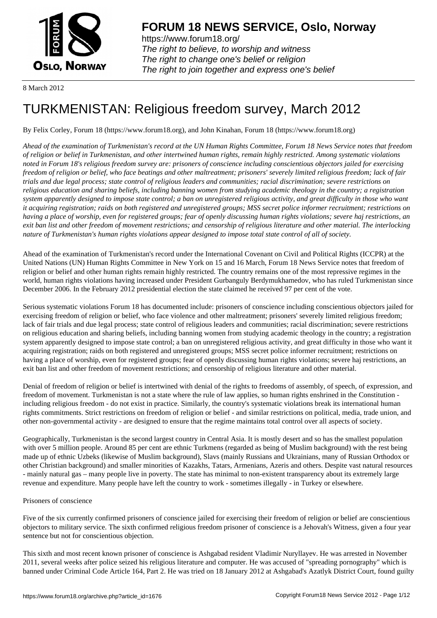

https://www.forum18.org/ The right to believe, to worship and witness The right to change one's belief or religion [The right to join together a](https://www.forum18.org/)nd express one's belief

8 March 2012

# [TURKMENISTA](https://www.forum18.org)N: Religious freedom survey, March 2012

By Felix Corley, Forum 18 (https://www.forum18.org), and John Kinahan, Forum 18 (https://www.forum18.org)

*Ahead of the examination of Turkmenistan's record at the UN Human Rights Committee, Forum 18 News Service notes that freedom of religion or belief in Turkmenistan, and other intertwined human rights, remain highly restricted. Among systematic violations noted in Forum 18's religious freedom survey are: prisoners of conscience including conscientious objectors jailed for exercising freedom of religion or belief, who face beatings and other maltreatment; prisoners' severely limited religious freedom; lack of fair trials and due legal process; state control of religious leaders and communities; racial discrimination; severe restrictions on religious education and sharing beliefs, including banning women from studying academic theology in the country; a registration system apparently designed to impose state control; a ban on unregistered religious activity, and great difficulty in those who want it acquiring registration; raids on both registered and unregistered groups; MSS secret police informer recruitment; restrictions on having a place of worship, even for registered groups; fear of openly discussing human rights violations; severe haj restrictions, an exit ban list and other freedom of movement restrictions; and censorship of religious literature and other material. The interlocking nature of Turkmenistan's human rights violations appear designed to impose total state control of all of society.*

Ahead of the examination of Turkmenistan's record under the International Covenant on Civil and Political Rights (ICCPR) at the United Nations (UN) Human Rights Committee in New York on 15 and 16 March, Forum 18 News Service notes that freedom of religion or belief and other human rights remain highly restricted. The country remains one of the most repressive regimes in the world, human rights violations having increased under President Gurbanguly Berdymukhamedov, who has ruled Turkmenistan since December 2006. In the February 2012 presidential election the state claimed he received 97 per cent of the vote.

Serious systematic violations Forum 18 has documented include: prisoners of conscience including conscientious objectors jailed for exercising freedom of religion or belief, who face violence and other maltreatment; prisoners' severely limited religious freedom; lack of fair trials and due legal process; state control of religious leaders and communities; racial discrimination; severe restrictions on religious education and sharing beliefs, including banning women from studying academic theology in the country; a registration system apparently designed to impose state control; a ban on unregistered religious activity, and great difficulty in those who want it acquiring registration; raids on both registered and unregistered groups; MSS secret police informer recruitment; restrictions on having a place of worship, even for registered groups; fear of openly discussing human rights violations; severe haj restrictions, an exit ban list and other freedom of movement restrictions; and censorship of religious literature and other material.

Denial of freedom of religion or belief is intertwined with denial of the rights to freedoms of assembly, of speech, of expression, and freedom of movement. Turkmenistan is not a state where the rule of law applies, so human rights enshrined in the Constitution including religious freedom - do not exist in practice. Similarly, the country's systematic violations break its international human rights commitments. Strict restrictions on freedom of religion or belief - and similar restrictions on political, media, trade union, and other non-governmental activity - are designed to ensure that the regime maintains total control over all aspects of society.

Geographically, Turkmenistan is the second largest country in Central Asia. It is mostly desert and so has the smallest population with over 5 million people. Around 85 per cent are ethnic Turkmens (regarded as being of Muslim background) with the rest being made up of ethnic Uzbeks (likewise of Muslim background), Slavs (mainly Russians and Ukrainians, many of Russian Orthodox or other Christian background) and smaller minorities of Kazakhs, Tatars, Armenians, Azeris and others. Despite vast natural resources - mainly natural gas – many people live in poverty. The state has minimal to non-existent transparency about its extremely large revenue and expenditure. Many people have left the country to work - sometimes illegally - in Turkey or elsewhere.

## Prisoners of conscience

Five of the six currently confirmed prisoners of conscience jailed for exercising their freedom of religion or belief are conscientious objectors to military service. The sixth confirmed religious freedom prisoner of conscience is a Jehovah's Witness, given a four year sentence but not for conscientious objection.

This sixth and most recent known prisoner of conscience is Ashgabad resident Vladimir Nuryllayev. He was arrested in November 2011, several weeks after police seized his religious literature and computer. He was accused of "spreading pornography" which is banned under Criminal Code Article 164, Part 2. He was tried on 18 January 2012 at Ashgabad's Azatlyk District Court, found guilty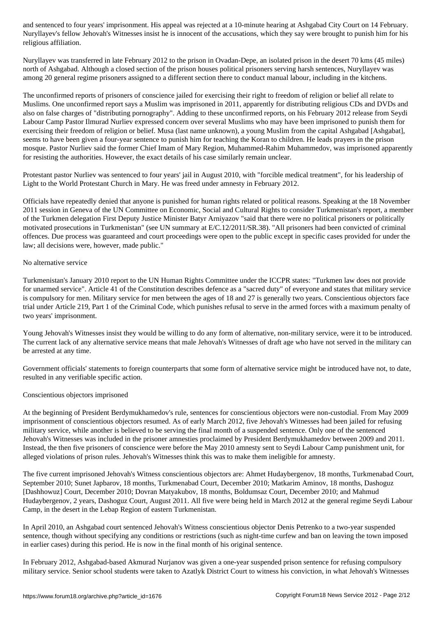Nuryllayev's fellow Jehovah's Witnesses insist he is innocent of the accusations, which they say were brought to punish him for his religious affiliation.

Nuryllayev was transferred in late February 2012 to the prison in Ovadan-Depe, an isolated prison in the desert 70 kms (45 miles) north of Ashgabad. Although a closed section of the prison houses political prisoners serving harsh sentences, Nuryllayev was among 20 general regime prisoners assigned to a different section there to conduct manual labour, including in the kitchens.

The unconfirmed reports of prisoners of conscience jailed for exercising their right to freedom of religion or belief all relate to Muslims. One unconfirmed report says a Muslim was imprisoned in 2011, apparently for distributing religious CDs and DVDs and also on false charges of "distributing pornography". Adding to these unconfirmed reports, on his February 2012 release from Seydi Labour Camp Pastor Ilmurad Nurliev expressed concern over several Muslims who may have been imprisoned to punish them for exercising their freedom of religion or belief. Musa (last name unknown), a young Muslim from the capital Ashgabad [Ashgabat], seems to have been given a four-year sentence to punish him for teaching the Koran to children. He leads prayers in the prison mosque. Pastor Nurliev said the former Chief Imam of Mary Region, Muhammed-Rahim Muhammedov, was imprisoned apparently for resisting the authorities. However, the exact details of his case similarly remain unclear.

Protestant pastor Nurliev was sentenced to four years' jail in August 2010, with "forcible medical treatment", for his leadership of Light to the World Protestant Church in Mary. He was freed under amnesty in February 2012.

Officials have repeatedly denied that anyone is punished for human rights related or political reasons. Speaking at the 18 November 2011 session in Geneva of the UN Committee on Economic, Social and Cultural Rights to consider Turkmenistan's report, a member of the Turkmen delegation First Deputy Justice Minister Batyr Arniyazov "said that there were no political prisoners or politically motivated prosecutions in Turkmenistan" (see UN summary at E/C.12/2011/SR.38). "All prisoners had been convicted of criminal offences. Due process was guaranteed and court proceedings were open to the public except in specific cases provided for under the law; all decisions were, however, made public."

## No alternative service

Turkmenistan's January 2010 report to the UN Human Rights Committee under the ICCPR states: "Turkmen law does not provide for unarmed service". Article 41 of the Constitution describes defence as a "sacred duty" of everyone and states that military service is compulsory for men. Military service for men between the ages of 18 and 27 is generally two years. Conscientious objectors face trial under Article 219, Part 1 of the Criminal Code, which punishes refusal to serve in the armed forces with a maximum penalty of two years' imprisonment.

Young Jehovah's Witnesses insist they would be willing to do any form of alternative, non-military service, were it to be introduced. The current lack of any alternative service means that male Jehovah's Witnesses of draft age who have not served in the military can be arrested at any time.

Government officials' statements to foreign counterparts that some form of alternative service might be introduced have not, to date, resulted in any verifiable specific action.

#### Conscientious objectors imprisoned

At the beginning of President Berdymukhamedov's rule, sentences for conscientious objectors were non-custodial. From May 2009 imprisonment of conscientious objectors resumed. As of early March 2012, five Jehovah's Witnesses had been jailed for refusing military service, while another is believed to be serving the final month of a suspended sentence. Only one of the sentenced Jehovah's Witnesses was included in the prisoner amnesties proclaimed by President Berdymukhamedov between 2009 and 2011. Instead, the then five prisoners of conscience were before the May 2010 amnesty sent to Seydi Labour Camp punishment unit, for alleged violations of prison rules. Jehovah's Witnesses think this was to make them ineligible for amnesty.

The five current imprisoned Jehovah's Witness conscientious objectors are: Ahmet Hudaybergenov, 18 months, Turkmenabad Court, September 2010; Sunet Japbarov, 18 months, Turkmenabad Court, December 2010; Matkarim Aminov, 18 months, Dashoguz [Dashhowuz] Court, December 2010; Dovran Matyakubov, 18 months, Boldumsaz Court, December 2010; and Mahmud Hudaybergenov, 2 years, Dashoguz Court, August 2011. All five were being held in March 2012 at the general regime Seydi Labour Camp, in the desert in the Lebap Region of eastern Turkmenistan.

In April 2010, an Ashgabad court sentenced Jehovah's Witness conscientious objector Denis Petrenko to a two-year suspended sentence, though without specifying any conditions or restrictions (such as night-time curfew and ban on leaving the town imposed in earlier cases) during this period. He is now in the final month of his original sentence.

In February 2012, Ashgabad-based Akmurad Nurjanov was given a one-year suspended prison sentence for refusing compulsory military service. Senior school students were taken to Azatlyk District Court to witness his conviction, in what Jehovah's Witnesses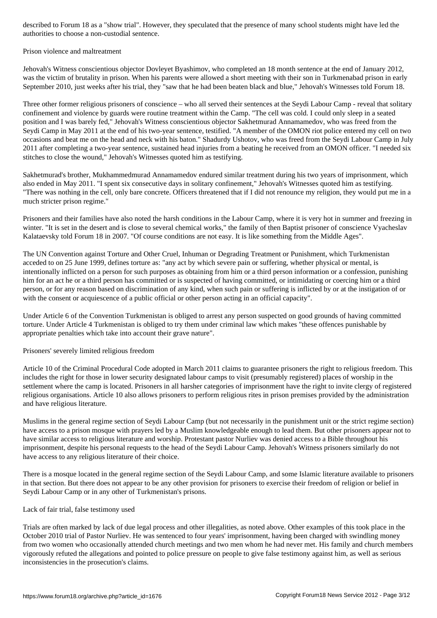#### Prison violence and maltreatment

Jehovah's Witness conscientious objector Dovleyet Byashimov, who completed an 18 month sentence at the end of January 2012, was the victim of brutality in prison. When his parents were allowed a short meeting with their son in Turkmenabad prison in early September 2010, just weeks after his trial, they "saw that he had been beaten black and blue," Jehovah's Witnesses told Forum 18.

Three other former religious prisoners of conscience – who all served their sentences at the Seydi Labour Camp - reveal that solitary confinement and violence by guards were routine treatment within the Camp. "The cell was cold. I could only sleep in a seated position and I was barely fed," Jehovah's Witness conscientious objector Sakhetmurad Annamamedov, who was freed from the Seydi Camp in May 2011 at the end of his two-year sentence, testified. "A member of the OMON riot police entered my cell on two occasions and beat me on the head and neck with his baton." Shadurdy Ushotov, who was freed from the Seydi Labour Camp in July 2011 after completing a two-year sentence, sustained head injuries from a beating he received from an OMON officer. "I needed six stitches to close the wound," Jehovah's Witnesses quoted him as testifying.

Sakhetmurad's brother, Mukhammedmurad Annamamedov endured similar treatment during his two years of imprisonment, which also ended in May 2011. "I spent six consecutive days in solitary confinement," Jehovah's Witnesses quoted him as testifying. "There was nothing in the cell, only bare concrete. Officers threatened that if I did not renounce my religion, they would put me in a much stricter prison regime."

Prisoners and their families have also noted the harsh conditions in the Labour Camp, where it is very hot in summer and freezing in winter. "It is set in the desert and is close to several chemical works," the family of then Baptist prisoner of conscience Vyacheslav Kalataevsky told Forum 18 in 2007. "Of course conditions are not easy. It is like something from the Middle Ages".

The UN Convention against Torture and Other Cruel, Inhuman or Degrading Treatment or Punishment, which Turkmenistan acceded to on 25 June 1999, defines torture as: "any act by which severe pain or suffering, whether physical or mental, is intentionally inflicted on a person for such purposes as obtaining from him or a third person information or a confession, punishing him for an act he or a third person has committed or is suspected of having committed, or intimidating or coercing him or a third person, or for any reason based on discrimination of any kind, when such pain or suffering is inflicted by or at the instigation of or with the consent or acquiescence of a public official or other person acting in an official capacity".

Under Article 6 of the Convention Turkmenistan is obliged to arrest any person suspected on good grounds of having committed torture. Under Article 4 Turkmenistan is obliged to try them under criminal law which makes "these offences punishable by appropriate penalties which take into account their grave nature".

## Prisoners' severely limited religious freedom

Article 10 of the Criminal Procedural Code adopted in March 2011 claims to guarantee prisoners the right to religious freedom. This includes the right for those in lower security designated labour camps to visit (presumably registered) places of worship in the settlement where the camp is located. Prisoners in all harsher categories of imprisonment have the right to invite clergy of registered religious organisations. Article 10 also allows prisoners to perform religious rites in prison premises provided by the administration and have religious literature.

Muslims in the general regime section of Seydi Labour Camp (but not necessarily in the punishment unit or the strict regime section) have access to a prison mosque with prayers led by a Muslim knowledgeable enough to lead them. But other prisoners appear not to have similar access to religious literature and worship. Protestant pastor Nurliev was denied access to a Bible throughout his imprisonment, despite his personal requests to the head of the Seydi Labour Camp. Jehovah's Witness prisoners similarly do not have access to any religious literature of their choice.

There is a mosque located in the general regime section of the Seydi Labour Camp, and some Islamic literature available to prisoners in that section. But there does not appear to be any other provision for prisoners to exercise their freedom of religion or belief in Seydi Labour Camp or in any other of Turkmenistan's prisons.

## Lack of fair trial, false testimony used

Trials are often marked by lack of due legal process and other illegalities, as noted above. Other examples of this took place in the October 2010 trial of Pastor Nurliev. He was sentenced to four years' imprisonment, having been charged with swindling money from two women who occasionally attended church meetings and two men whom he had never met. His family and church members vigorously refuted the allegations and pointed to police pressure on people to give false testimony against him, as well as serious inconsistencies in the prosecution's claims.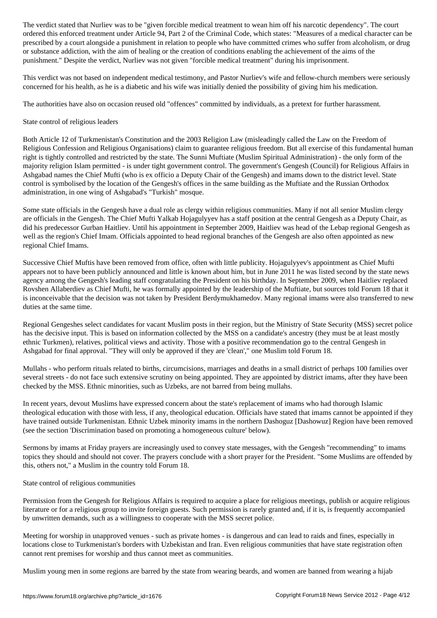ordered treatment under Article 94,  $\alpha$  of the Criminal Code, which states: "Measures of a medical character can be  $\alpha$ prescribed by a court alongside a punishment in relation to people who have committed crimes who suffer from alcoholism, or drug or substance addiction, with the aim of healing or the creation of conditions enabling the achievement of the aims of the punishment." Despite the verdict, Nurliev was not given "forcible medical treatment" during his imprisonment.

This verdict was not based on independent medical testimony, and Pastor Nurliev's wife and fellow-church members were seriously concerned for his health, as he is a diabetic and his wife was initially denied the possibility of giving him his medication.

The authorities have also on occasion reused old "offences" committed by individuals, as a pretext for further harassment.

#### State control of religious leaders

Both Article 12 of Turkmenistan's Constitution and the 2003 Religion Law (misleadingly called the Law on the Freedom of Religious Confession and Religious Organisations) claim to guarantee religious freedom. But all exercise of this fundamental human right is tightly controlled and restricted by the state. The Sunni Muftiate (Muslim Spiritual Administration) - the only form of the majority religion Islam permitted - is under tight government control. The government's Gengesh (Council) for Religious Affairs in Ashgabad names the Chief Mufti (who is ex officio a Deputy Chair of the Gengesh) and imams down to the district level. State control is symbolised by the location of the Gengesh's offices in the same building as the Muftiate and the Russian Orthodox administration, in one wing of Ashgabad's "Turkish" mosque.

Some state officials in the Gengesh have a dual role as clergy within religious communities. Many if not all senior Muslim clergy are officials in the Gengesh. The Chief Mufti Yalkab Hojagulyyev has a staff position at the central Gengesh as a Deputy Chair, as did his predecessor Gurban Haitliev. Until his appointment in September 2009, Haitliev was head of the Lebap regional Gengesh as well as the region's Chief Imam. Officials appointed to head regional branches of the Gengesh are also often appointed as new regional Chief Imams.

Successive Chief Muftis have been removed from office, often with little publicity. Hojagulyyev's appointment as Chief Mufti appears not to have been publicly announced and little is known about him, but in June 2011 he was listed second by the state news agency among the Gengesh's leading staff congratulating the President on his birthday. In September 2009, when Haitliev replaced Rovshen Allaberdiev as Chief Mufti, he was formally appointed by the leadership of the Muftiate, but sources told Forum 18 that it is inconceivable that the decision was not taken by President Berdymukhamedov. Many regional imams were also transferred to new duties at the same time.

Regional Gengeshes select candidates for vacant Muslim posts in their region, but the Ministry of State Security (MSS) secret police has the decisive input. This is based on information collected by the MSS on a candidate's ancestry (they must be at least mostly ethnic Turkmen), relatives, political views and activity. Those with a positive recommendation go to the central Gengesh in Ashgabad for final approval. "They will only be approved if they are 'clean'," one Muslim told Forum 18.

Mullahs - who perform rituals related to births, circumcisions, marriages and deaths in a small district of perhaps 100 families over several streets - do not face such extensive scrutiny on being appointed. They are appointed by district imams, after they have been checked by the MSS. Ethnic minorities, such as Uzbeks, are not barred from being mullahs.

In recent years, devout Muslims have expressed concern about the state's replacement of imams who had thorough Islamic theological education with those with less, if any, theological education. Officials have stated that imams cannot be appointed if they have trained outside Turkmenistan. Ethnic Uzbek minority imams in the northern Dashoguz [Dashowuz] Region have been removed (see the section 'Discrimination based on promoting a homogeneous culture' below).

Sermons by imams at Friday prayers are increasingly used to convey state messages, with the Gengesh "recommending" to imams topics they should and should not cover. The prayers conclude with a short prayer for the President. "Some Muslims are offended by this, others not," a Muslim in the country told Forum 18.

State control of religious communities

Permission from the Gengesh for Religious Affairs is required to acquire a place for religious meetings, publish or acquire religious literature or for a religious group to invite foreign guests. Such permission is rarely granted and, if it is, is frequently accompanied by unwritten demands, such as a willingness to cooperate with the MSS secret police.

Meeting for worship in unapproved venues - such as private homes - is dangerous and can lead to raids and fines, especially in locations close to Turkmenistan's borders with Uzbekistan and Iran. Even religious communities that have state registration often cannot rent premises for worship and thus cannot meet as communities.

Muslim young men in some regions are barred by the state from wearing beards, and women are banned from wearing a hijab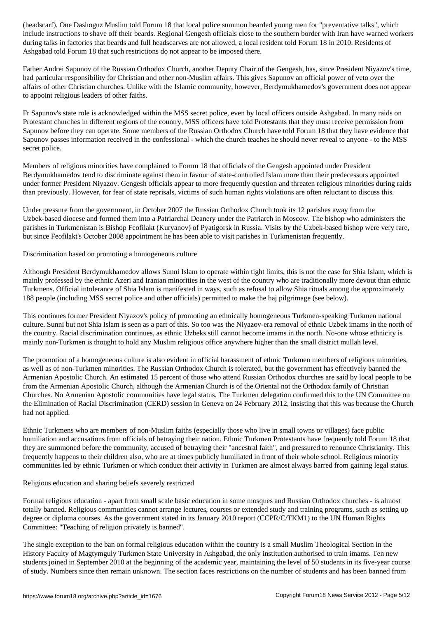include instructions to shave off their beards. Regional Gengesh officials close to the southern border with Iran have warned workers during talks in factories that beards and full headscarves are not allowed, a local resident told Forum 18 in 2010. Residents of Ashgabad told Forum 18 that such restrictions do not appear to be imposed there.

Father Andrei Sapunov of the Russian Orthodox Church, another Deputy Chair of the Gengesh, has, since President Niyazov's time, had particular responsibility for Christian and other non-Muslim affairs. This gives Sapunov an official power of veto over the affairs of other Christian churches. Unlike with the Islamic community, however, Berdymukhamedov's government does not appear to appoint religious leaders of other faiths.

Fr Sapunov's state role is acknowledged within the MSS secret police, even by local officers outside Ashgabad. In many raids on Protestant churches in different regions of the country, MSS officers have told Protestants that they must receive permission from Sapunov before they can operate. Some members of the Russian Orthodox Church have told Forum 18 that they have evidence that Sapunov passes information received in the confessional - which the church teaches he should never reveal to anyone - to the MSS secret police.

Members of religious minorities have complained to Forum 18 that officials of the Gengesh appointed under President Berdymukhamedov tend to discriminate against them in favour of state-controlled Islam more than their predecessors appointed under former President Niyazov. Gengesh officials appear to more frequently question and threaten religious minorities during raids than previously. However, for fear of state reprisals, victims of such human rights violations are often reluctant to discuss this.

Under pressure from the government, in October 2007 the Russian Orthodox Church took its 12 parishes away from the Uzbek-based diocese and formed them into a Patriarchal Deanery under the Patriarch in Moscow. The bishop who administers the parishes in Turkmenistan is Bishop Feofilakt (Kuryanov) of Pyatigorsk in Russia. Visits by the Uzbek-based bishop were very rare, but since Feofilakt's October 2008 appointment he has been able to visit parishes in Turkmenistan frequently.

## Discrimination based on promoting a homogeneous culture

Although President Berdymukhamedov allows Sunni Islam to operate within tight limits, this is not the case for Shia Islam, which is mainly professed by the ethnic Azeri and Iranian minorities in the west of the country who are traditionally more devout than ethnic Turkmens. Official intolerance of Shia Islam is manifested in ways, such as refusal to allow Shia rituals among the approximately 188 people (including MSS secret police and other officials) permitted to make the haj pilgrimage (see below).

This continues former President Niyazov's policy of promoting an ethnically homogeneous Turkmen-speaking Turkmen national culture. Sunni but not Shia Islam is seen as a part of this. So too was the Niyazov-era removal of ethnic Uzbek imams in the north of the country. Racial discrimination continues, as ethnic Uzbeks still cannot become imams in the north. No-one whose ethnicity is mainly non-Turkmen is thought to hold any Muslim religious office anywhere higher than the small district mullah level.

The promotion of a homogeneous culture is also evident in official harassment of ethnic Turkmen members of religious minorities, as well as of non-Turkmen minorities. The Russian Orthodox Church is tolerated, but the government has effectively banned the Armenian Apostolic Church. An estimated 15 percent of those who attend Russian Orthodox churches are said by local people to be from the Armenian Apostolic Church, although the Armenian Church is of the Oriental not the Orthodox family of Christian Churches. No Armenian Apostolic communities have legal status. The Turkmen delegation confirmed this to the UN Committee on the Elimination of Racial Discrimination (CERD) session in Geneva on 24 February 2012, insisting that this was because the Church had not applied.

Ethnic Turkmens who are members of non-Muslim faiths (especially those who live in small towns or villages) face public humiliation and accusations from officials of betraying their nation. Ethnic Turkmen Protestants have frequently told Forum 18 that they are summoned before the community, accused of betraying their "ancestral faith", and pressured to renounce Christianity. This frequently happens to their children also, who are at times publicly humiliated in front of their whole school. Religious minority communities led by ethnic Turkmen or which conduct their activity in Turkmen are almost always barred from gaining legal status.

## Religious education and sharing beliefs severely restricted

Formal religious education - apart from small scale basic education in some mosques and Russian Orthodox churches - is almost totally banned. Religious communities cannot arrange lectures, courses or extended study and training programs, such as setting up degree or diploma courses. As the government stated in its January 2010 report (CCPR/C/TKM1) to the UN Human Rights Committee: "Teaching of religion privately is banned".

The single exception to the ban on formal religious education within the country is a small Muslim Theological Section in the History Faculty of Magtymguly Turkmen State University in Ashgabad, the only institution authorised to train imams. Ten new students joined in September 2010 at the beginning of the academic year, maintaining the level of 50 students in its five-year course of study. Numbers since then remain unknown. The section faces restrictions on the number of students and has been banned from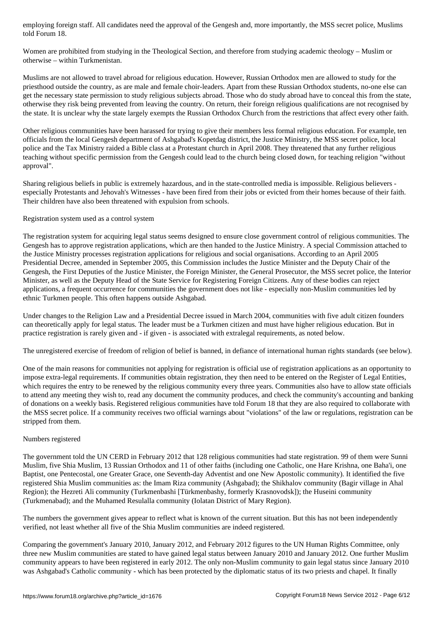Women are prohibited from studying in the Theological Section, and therefore from studying academic theology – Muslim or otherwise – within Turkmenistan.

Muslims are not allowed to travel abroad for religious education. However, Russian Orthodox men are allowed to study for the priesthood outside the country, as are male and female choir-leaders. Apart from these Russian Orthodox students, no-one else can get the necessary state permission to study religious subjects abroad. Those who do study abroad have to conceal this from the state, otherwise they risk being prevented from leaving the country. On return, their foreign religious qualifications are not recognised by the state. It is unclear why the state largely exempts the Russian Orthodox Church from the restrictions that affect every other faith.

Other religious communities have been harassed for trying to give their members less formal religious education. For example, ten officials from the local Gengesh department of Ashgabad's Kopetdag district, the Justice Ministry, the MSS secret police, local police and the Tax Ministry raided a Bible class at a Protestant church in April 2008. They threatened that any further religious teaching without specific permission from the Gengesh could lead to the church being closed down, for teaching religion "without approval".

Sharing religious beliefs in public is extremely hazardous, and in the state-controlled media is impossible. Religious believers especially Protestants and Jehovah's Witnesses - have been fired from their jobs or evicted from their homes because of their faith. Their children have also been threatened with expulsion from schools.

## Registration system used as a control system

The registration system for acquiring legal status seems designed to ensure close government control of religious communities. The Gengesh has to approve registration applications, which are then handed to the Justice Ministry. A special Commission attached to the Justice Ministry processes registration applications for religious and social organisations. According to an April 2005 Presidential Decree, amended in September 2005, this Commission includes the Justice Minister and the Deputy Chair of the Gengesh, the First Deputies of the Justice Minister, the Foreign Minister, the General Prosecutor, the MSS secret police, the Interior Minister, as well as the Deputy Head of the State Service for Registering Foreign Citizens. Any of these bodies can reject applications, a frequent occurrence for communities the government does not like - especially non-Muslim communities led by ethnic Turkmen people. This often happens outside Ashgabad.

Under changes to the Religion Law and a Presidential Decree issued in March 2004, communities with five adult citizen founders can theoretically apply for legal status. The leader must be a Turkmen citizen and must have higher religious education. But in practice registration is rarely given and - if given - is associated with extralegal requirements, as noted below.

The unregistered exercise of freedom of religion of belief is banned, in defiance of international human rights standards (see below).

One of the main reasons for communities not applying for registration is official use of registration applications as an opportunity to impose extra-legal requirements. If communities obtain registration, they then need to be entered on the Register of Legal Entities, which requires the entry to be renewed by the religious community every three years. Communities also have to allow state officials to attend any meeting they wish to, read any document the community produces, and check the community's accounting and banking of donations on a weekly basis. Registered religious communities have told Forum 18 that they are also required to collaborate with the MSS secret police. If a community receives two official warnings about "violations" of the law or regulations, registration can be stripped from them.

## Numbers registered

The government told the UN CERD in February 2012 that 128 religious communities had state registration. 99 of them were Sunni Muslim, five Shia Muslim, 13 Russian Orthodox and 11 of other faiths (including one Catholic, one Hare Krishna, one Baha'i, one Baptist, one Pentecostal, one Greater Grace, one Seventh-day Adventist and one New Apostolic community). It identified the five registered Shia Muslim communities as: the Imam Riza community (Ashgabad); the Shikhalov community (Bagir village in Ahal Region); the Hezreti Ali community (Turkmenbashi [Türkmenbashy, formerly Krasnovodsk]); the Huseini community (Turkmenabad); and the Muhamed Resulalla community (Iolatan District of Mary Region).

The numbers the government gives appear to reflect what is known of the current situation. But this has not been independently verified, not least whether all five of the Shia Muslim communities are indeed registered.

Comparing the government's January 2010, January 2012, and February 2012 figures to the UN Human Rights Committee, only three new Muslim communities are stated to have gained legal status between January 2010 and January 2012. One further Muslim community appears to have been registered in early 2012. The only non-Muslim community to gain legal status since January 2010 was Ashgabad's Catholic community - which has been protected by the diplomatic status of its two priests and chapel. It finally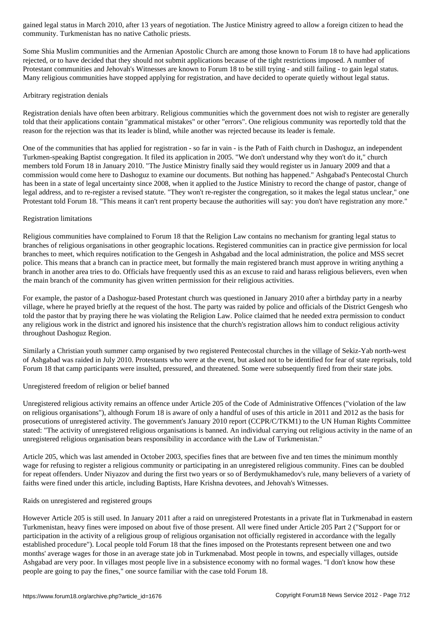Some Shia Muslim communities and the Armenian Apostolic Church are among those known to Forum 18 to have had applications rejected, or to have decided that they should not submit applications because of the tight restrictions imposed. A number of Protestant communities and Jehovah's Witnesses are known to Forum 18 to be still trying - and still failing - to gain legal status. Many religious communities have stopped applying for registration, and have decided to operate quietly without legal status.

## Arbitrary registration denials

community. Turkmenistan has no native Catholic primary constants. The catholic primary constants in the catholic primary constants in the catholic primary constants in the catholic primary constants in the catholic primary

Registration denials have often been arbitrary. Religious communities which the government does not wish to register are generally told that their applications contain "grammatical mistakes" or other "errors". One religious community was reportedly told that the reason for the rejection was that its leader is blind, while another was rejected because its leader is female.

One of the communities that has applied for registration - so far in vain - is the Path of Faith church in Dashoguz, an independent Turkmen-speaking Baptist congregation. It filed its application in 2005. "We don't understand why they won't do it," church members told Forum 18 in January 2010. "The Justice Ministry finally said they would register us in January 2009 and that a commission would come here to Dashoguz to examine our documents. But nothing has happened." Ashgabad's Pentecostal Church has been in a state of legal uncertainty since 2008, when it applied to the Justice Ministry to record the change of pastor, change of legal address, and to re-register a revised statute. "They won't re-register the congregation, so it makes the legal status unclear," one Protestant told Forum 18. "This means it can't rent property because the authorities will say: you don't have registration any more."

## Registration limitations

Religious communities have complained to Forum 18 that the Religion Law contains no mechanism for granting legal status to branches of religious organisations in other geographic locations. Registered communities can in practice give permission for local branches to meet, which requires notification to the Gengesh in Ashgabad and the local administration, the police and MSS secret police. This means that a branch can in practice meet, but formally the main registered branch must approve in writing anything a branch in another area tries to do. Officials have frequently used this as an excuse to raid and harass religious believers, even when the main branch of the community has given written permission for their religious activities.

For example, the pastor of a Dashoguz-based Protestant church was questioned in January 2010 after a birthday party in a nearby village, where he prayed briefly at the request of the host. The party was raided by police and officials of the District Gengesh who told the pastor that by praying there he was violating the Religion Law. Police claimed that he needed extra permission to conduct any religious work in the district and ignored his insistence that the church's registration allows him to conduct religious activity throughout Dashoguz Region.

Similarly a Christian youth summer camp organised by two registered Pentecostal churches in the village of Sekiz-Yab north-west of Ashgabad was raided in July 2010. Protestants who were at the event, but asked not to be identified for fear of state reprisals, told Forum 18 that camp participants were insulted, pressured, and threatened. Some were subsequently fired from their state jobs.

## Unregistered freedom of religion or belief banned

Unregistered religious activity remains an offence under Article 205 of the Code of Administrative Offences ("violation of the law on religious organisations"), although Forum 18 is aware of only a handful of uses of this article in 2011 and 2012 as the basis for prosecutions of unregistered activity. The government's January 2010 report (CCPR/C/TKM1) to the UN Human Rights Committee stated: "The activity of unregistered religious organisations is banned. An individual carrying out religious activity in the name of an unregistered religious organisation bears responsibility in accordance with the Law of Turkmenistan."

Article 205, which was last amended in October 2003, specifies fines that are between five and ten times the minimum monthly wage for refusing to register a religious community or participating in an unregistered religious community. Fines can be doubled for repeat offenders. Under Niyazov and during the first two years or so of Berdymukhamedov's rule, many believers of a variety of faiths were fined under this article, including Baptists, Hare Krishna devotees, and Jehovah's Witnesses.

## Raids on unregistered and registered groups

However Article 205 is still used. In January 2011 after a raid on unregistered Protestants in a private flat in Turkmenabad in eastern Turkmenistan, heavy fines were imposed on about five of those present. All were fined under Article 205 Part 2 ("Support for or participation in the activity of a religious group of religious organisation not officially registered in accordance with the legally established procedure"). Local people told Forum 18 that the fines imposed on the Protestants represent between one and two months' average wages for those in an average state job in Turkmenabad. Most people in towns, and especially villages, outside Ashgabad are very poor. In villages most people live in a subsistence economy with no formal wages. "I don't know how these people are going to pay the fines," one source familiar with the case told Forum 18.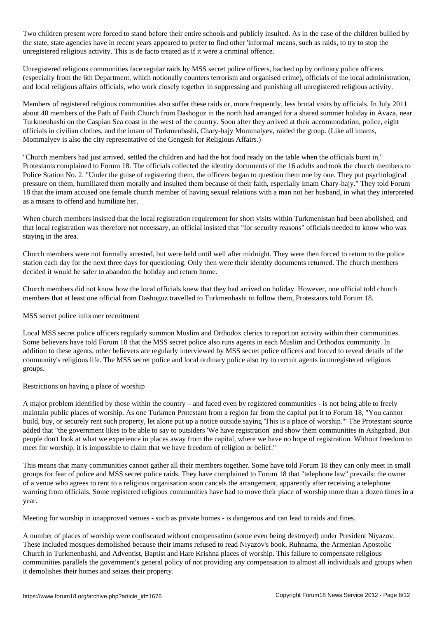Two children present were their entire schools and publicly insulted. As in the case of the children bullied by  $\mathcal{A}$ the state, state agencies have in recent years appeared to prefer to find other 'informal' means, such as raids, to try to stop the unregistered religious activity. This is de facto treated as if it were a criminal offence.

Unregistered religious communities face regular raids by MSS secret police officers, backed up by ordinary police officers (especially from the 6th Department, which notionally counters terrorism and organised crime), officials of the local administration, and local religious affairs officials, who work closely together in suppressing and punishing all unregistered religious activity.

Members of registered religious communities also suffer these raids or, more frequently, less brutal visits by officials. In July 2011 about 40 members of the Path of Faith Church from Dashoguz in the north had arranged for a shared summer holiday in Avaza, near Turkmenbashi on the Caspian Sea coast in the west of the country. Soon after they arrived at their accommodation, police, eight officials in civilian clothes, and the imam of Turkmenbashi, Chary-hajy Mommalyev, raided the group. (Like all imams, Mommalyev is also the city representative of the Gengesh for Religious Affairs.)

"Church members had just arrived, settled the children and had the hot food ready on the table when the officials burst in," Protestants complained to Forum 18. The officials collected the identity documents of the 16 adults and took the church members to Police Station No. 2. "Under the guise of registering them, the officers began to question them one by one. They put psychological pressure on them, humiliated them morally and insulted them because of their faith, especially Imam Chary-hajy." They told Forum 18 that the imam accused one female church member of having sexual relations with a man not her husband, in what they interpreted as a means to offend and humiliate her.

When church members insisted that the local registration requirement for short visits within Turkmenistan had been abolished, and that local registration was therefore not necessary, an official insisted that "for security reasons" officials needed to know who was staying in the area.

Church members were not formally arrested, but were held until well after midnight. They were then forced to return to the police station each day for the next three days for questioning. Only then were their identity documents returned. The church members decided it would be safer to abandon the holiday and return home.

Church members did not know how the local officials knew that they had arrived on holiday. However, one official told church members that at least one official from Dashoguz travelled to Turkmenbashi to follow them, Protestants told Forum 18.

#### MSS secret police informer recruitment

Local MSS secret police officers regularly summon Muslim and Orthodox clerics to report on activity within their communities. Some believers have told Forum 18 that the MSS secret police also runs agents in each Muslim and Orthodox community. In addition to these agents, other believers are regularly interviewed by MSS secret police officers and forced to reveal details of the community's religious life. The MSS secret police and local ordinary police also try to recruit agents in unregistered religious groups.

## Restrictions on having a place of worship

A major problem identified by those within the country – and faced even by registered communities - is not being able to freely maintain public places of worship. As one Turkmen Protestant from a region far from the capital put it to Forum 18, "You cannot build, buy, or securely rent such property, let alone put up a notice outside saying 'This is a place of worship.'" The Protestant source added that "the government likes to be able to say to outsiders 'We have registration' and show them communities in Ashgabad. But people don't look at what we experience in places away from the capital, where we have no hope of registration. Without freedom to meet for worship, it is impossible to claim that we have freedom of religion or belief."

This means that many communities cannot gather all their members together. Some have told Forum 18 they can only meet in small groups for fear of police and MSS secret police raids. They have complained to Forum 18 that "telephone law" prevails: the owner of a venue who agrees to rent to a religious organisation soon cancels the arrangement, apparently after receiving a telephone warning from officials. Some registered religious communities have had to move their place of worship more than a dozen times in a year.

Meeting for worship in unapproved venues - such as private homes - is dangerous and can lead to raids and fines.

A number of places of worship were confiscated without compensation (some even being destroyed) under President Niyazov. These included mosques demolished because their imams refused to read Niyazov's book, Ruhnama, the Armenian Apostolic Church in Turkmenbashi, and Adventist, Baptist and Hare Krishna places of worship. This failure to compensate religious communities parallels the government's general policy of not providing any compensation to almost all individuals and groups when it demolishes their homes and seizes their property.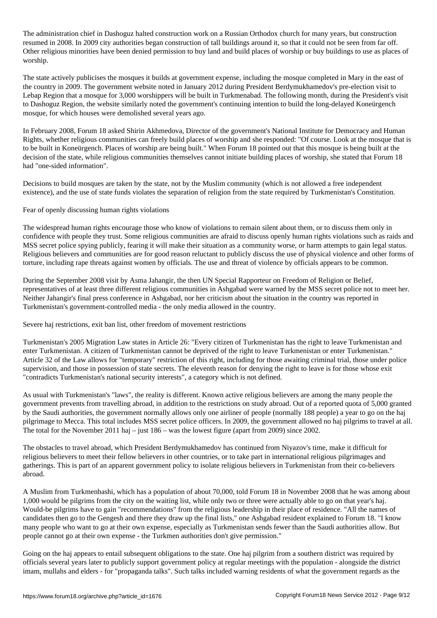The administration chief in Dashoguz halted construction work on a Russian Orthodox church for many  $\mathcal{S}$ resumed in 2008. In 2009 city authorities began construction of tall buildings around it, so that it could not be seen from far off. Other religious minorities have been denied permission to buy land and build places of worship or buy buildings to use as places of worship.

The state actively publicises the mosques it builds at government expense, including the mosque completed in Mary in the east of the country in 2009. The government website noted in January 2012 during President Berdymukhamedov's pre-election visit to Lebap Region that a mosque for 3,000 worshippers will be built in Turkmenabad. The following month, during the President's visit to Dashoguz Region, the website similarly noted the government's continuing intention to build the long-delayed Koneürgench mosque, for which houses were demolished several years ago.

In February 2008, Forum 18 asked Shirin Akhmedova, Director of the government's National Institute for Democracy and Human Rights, whether religious communities can freely build places of worship and she responded: "Of course. Look at the mosque that is to be built in Koneürgench. Places of worship are being built." When Forum 18 pointed out that this mosque is being built at the decision of the state, while religious communities themselves cannot initiate building places of worship, she stated that Forum 18 had "one-sided information".

Decisions to build mosques are taken by the state, not by the Muslim community (which is not allowed a free independent existence), and the use of state funds violates the separation of religion from the state required by Turkmenistan's Constitution.

Fear of openly discussing human rights violations

The widespread human rights encourage those who know of violations to remain silent about them, or to discuss them only in confidence with people they trust. Some religious communities are afraid to discuss openly human rights violations such as raids and MSS secret police spying publicly, fearing it will make their situation as a community worse, or harm attempts to gain legal status. Religious believers and communities are for good reason reluctant to publicly discuss the use of physical violence and other forms of torture, including rape threats against women by officials. The use and threat of violence by officials appears to be common.

During the September 2008 visit by Asma Jahangir, the then UN Special Rapporteur on Freedom of Religion or Belief, representatives of at least three different religious communities in Ashgabad were warned by the MSS secret police not to meet her. Neither Jahangir's final press conference in Ashgabad, nor her criticism about the situation in the country was reported in Turkmenistan's government-controlled media - the only media allowed in the country.

Severe haj restrictions, exit ban list, other freedom of movement restrictions

Turkmenistan's 2005 Migration Law states in Article 26: "Every citizen of Turkmenistan has the right to leave Turkmenistan and enter Turkmenistan. A citizen of Turkmenistan cannot be deprived of the right to leave Turkmenistan or enter Turkmenistan." Article 32 of the Law allows for "temporary" restriction of this right, including for those awaiting criminal trial, those under police supervision, and those in possession of state secrets. The eleventh reason for denying the right to leave is for those whose exit "contradicts Turkmenistan's national security interests", a category which is not defined.

As usual with Turkmenistan's "laws", the reality is different. Known active religious believers are among the many people the government prevents from travelling abroad, in addition to the restrictions on study abroad. Out of a reported quota of 5,000 granted by the Saudi authorities, the government normally allows only one airliner of people (normally 188 people) a year to go on the haj pilgrimage to Mecca. This total includes MSS secret police officers. In 2009, the government allowed no haj pilgrims to travel at all. The total for the November 2011 haj – just 186 – was the lowest figure (apart from 2009) since 2002.

The obstacles to travel abroad, which President Berdymukhamedov has continued from Niyazov's time, make it difficult for religious believers to meet their fellow believers in other countries, or to take part in international religious pilgrimages and gatherings. This is part of an apparent government policy to isolate religious believers in Turkmenistan from their co-believers abroad.

A Muslim from Turkmenbashi, which has a population of about 70,000, told Forum 18 in November 2008 that he was among about 1,000 would be pilgrims from the city on the waiting list, while only two or three were actually able to go on that year's haj. Would-be pilgrims have to gain "recommendations" from the religious leadership in their place of residence. "All the names of candidates then go to the Gengesh and there they draw up the final lists," one Ashgabad resident explained to Forum 18. "I know many people who want to go at their own expense, especially as Turkmenistan sends fewer than the Saudi authorities allow. But people cannot go at their own expense - the Turkmen authorities don't give permission."

Going on the haj appears to entail subsequent obligations to the state. One haj pilgrim from a southern district was required by officials several years later to publicly support government policy at regular meetings with the population - alongside the district imam, mullahs and elders - for "propaganda talks". Such talks included warning residents of what the government regards as the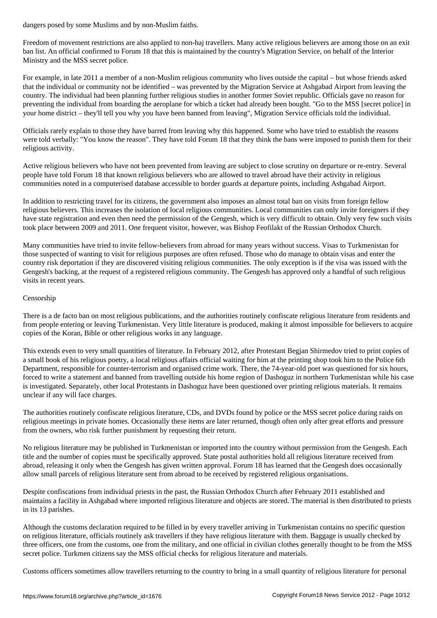Freedom of movement restrictions are also applied to non-haj travellers. Many active religious believers are among those on an exit ban list. An official confirmed to Forum 18 that this is maintained by the country's Migration Service, on behalf of the Interior Ministry and the MSS secret police.

For example, in late 2011 a member of a non-Muslim religious community who lives outside the capital – but whose friends asked that the individual or community not be identified – was prevented by the Migration Service at Ashgabad Airport from leaving the country. The individual had been planning further religious studies in another former Soviet republic. Officials gave no reason for preventing the individual from boarding the aeroplane for which a ticket had already been bought. "Go to the MSS [secret police] in your home district – they'll tell you why you have been banned from leaving", Migration Service officials told the individual.

Officials rarely explain to those they have barred from leaving why this happened. Some who have tried to establish the reasons were told verbally: "You know the reason". They have told Forum 18 that they think the bans were imposed to punish them for their religious activity.

Active religious believers who have not been prevented from leaving are subject to close scrutiny on departure or re-entry. Several people have told Forum 18 that known religious believers who are allowed to travel abroad have their activity in religious communities noted in a computerised database accessible to border guards at departure points, including Ashgabad Airport.

In addition to restricting travel for its citizens, the government also imposes an almost total ban on visits from foreign fellow religious believers. This increases the isolation of local religious communities. Local communities can only invite foreigners if they have state registration and even then need the permission of the Gengesh, which is very difficult to obtain. Only very few such visits took place between 2009 and 2011. One frequent visitor, however, was Bishop Feofilakt of the Russian Orthodox Church.

Many communities have tried to invite fellow-believers from abroad for many years without success. Visas to Turkmenistan for those suspected of wanting to visit for religious purposes are often refused. Those who do manage to obtain visas and enter the country risk deportation if they are discovered visiting religious communities. The only exception is if the visa was issued with the Gengesh's backing, at the request of a registered religious community. The Gengesh has approved only a handful of such religious visits in recent years.

#### Censorship

There is a de facto ban on most religious publications, and the authorities routinely confiscate religious literature from residents and from people entering or leaving Turkmenistan. Very little literature is produced, making it almost impossible for believers to acquire copies of the Koran, Bible or other religious works in any language.

This extends even to very small quantities of literature. In February 2012, after Protestant Begjan Shirmedov tried to print copies of a small book of his religious poetry, a local religious affairs official waiting for him at the printing shop took him to the Police 6th Department, responsible for counter-terrorism and organised crime work. There, the 74-year-old poet was questioned for six hours, forced to write a statement and banned from travelling outside his home region of Dashoguz in northern Turkmenistan while his case is investigated. Separately, other local Protestants in Dashoguz have been questioned over printing religious materials. It remains unclear if any will face charges.

The authorities routinely confiscate religious literature, CDs, and DVDs found by police or the MSS secret police during raids on religious meetings in private homes. Occasionally these items are later returned, though often only after great efforts and pressure from the owners, who risk further punishment by requesting their return.

No religious literature may be published in Turkmenistan or imported into the country without permission from the Gengesh. Each title and the number of copies must be specifically approved. State postal authorities hold all religious literature received from abroad, releasing it only when the Gengesh has given written approval. Forum 18 has learned that the Gengesh does occasionally allow small parcels of religious literature sent from abroad to be received by registered religious organisations.

Despite confiscations from individual priests in the past, the Russian Orthodox Church after February 2011 established and maintains a facility in Ashgabad where imported religious literature and objects are stored. The material is then distributed to priests in its 13 parishes.

Although the customs declaration required to be filled in by every traveller arriving in Turkmenistan contains no specific question on religious literature, officials routinely ask travellers if they have religious literature with them. Baggage is usually checked by three officers, one from the customs, one from the military, and one official in civilian clothes generally thought to be from the MSS secret police. Turkmen citizens say the MSS official checks for religious literature and materials.

Customs officers sometimes allow travellers returning to the country to bring in a small quantity of religious literature for personal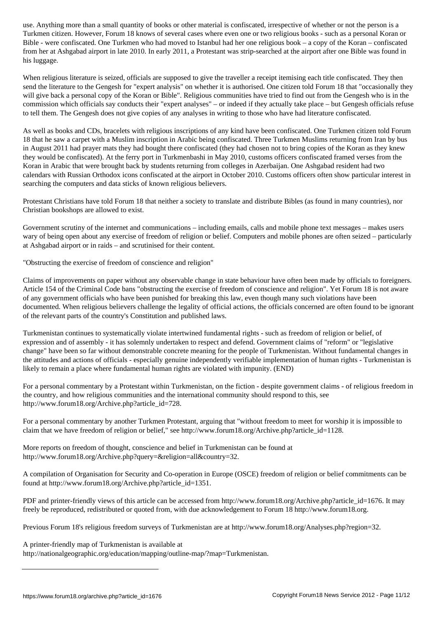Turkmen citizen. However, Forum 18 knows of several cases where even one or two religious  $\omega$ Bible - were confiscated. One Turkmen who had moved to Istanbul had her one religious book – a copy of the Koran – confiscated from her at Ashgabad airport in late 2010. In early 2011, a Protestant was strip-searched at the airport after one Bible was found in his luggage.

When religious literature is seized, officials are supposed to give the traveller a receipt itemising each title confiscated. They then send the literature to the Gengesh for "expert analysis" on whether it is authorised. One citizen told Forum 18 that "occasionally they will give back a personal copy of the Koran or Bible". Religious communities have tried to find out from the Gengesh who is in the commission which officials say conducts their "expert analyses" – or indeed if they actually take place – but Gengesh officials refuse to tell them. The Gengesh does not give copies of any analyses in writing to those who have had literature confiscated.

As well as books and CDs, bracelets with religious inscriptions of any kind have been confiscated. One Turkmen citizen told Forum 18 that he saw a carpet with a Muslim inscription in Arabic being confiscated. Three Turkmen Muslims returning from Iran by bus in August 2011 had prayer mats they had bought there confiscated (they had chosen not to bring copies of the Koran as they knew they would be confiscated). At the ferry port in Turkmenbashi in May 2010, customs officers confiscated framed verses from the Koran in Arabic that were brought back by students returning from colleges in Azerbaijan. One Ashgabad resident had two calendars with Russian Orthodox icons confiscated at the airport in October 2010. Customs officers often show particular interest in searching the computers and data sticks of known religious believers.

Protestant Christians have told Forum 18 that neither a society to translate and distribute Bibles (as found in many countries), nor Christian bookshops are allowed to exist.

Government scrutiny of the internet and communications – including emails, calls and mobile phone text messages – makes users wary of being open about any exercise of freedom of religion or belief. Computers and mobile phones are often seized – particularly at Ashgabad airport or in raids – and scrutinised for their content.

"Obstructing the exercise of freedom of conscience and religion"

Claims of improvements on paper without any observable change in state behaviour have often been made by officials to foreigners. Article 154 of the Criminal Code bans "obstructing the exercise of freedom of conscience and religion". Yet Forum 18 is not aware of any government officials who have been punished for breaking this law, even though many such violations have been documented. When religious believers challenge the legality of official actions, the officials concerned are often found to be ignorant of the relevant parts of the country's Constitution and published laws.

Turkmenistan continues to systematically violate intertwined fundamental rights - such as freedom of religion or belief, of expression and of assembly - it has solemnly undertaken to respect and defend. Government claims of "reform" or "legislative change" have been so far without demonstrable concrete meaning for the people of Turkmenistan. Without fundamental changes in the attitudes and actions of officials - especially genuine independently verifiable implementation of human rights - Turkmenistan is likely to remain a place where fundamental human rights are violated with impunity. (END)

For a personal commentary by a Protestant within Turkmenistan, on the fiction - despite government claims - of religious freedom in the country, and how religious communities and the international community should respond to this, see http://www.forum18.org/Archive.php?article\_id=728.

For a personal commentary by another Turkmen Protestant, arguing that "without freedom to meet for worship it is impossible to claim that we have freedom of religion or belief," see http://www.forum18.org/Archive.php?article\_id=1128.

More reports on freedom of thought, conscience and belief in Turkmenistan can be found at http://www.forum18.org/Archive.php?query=&religion=all&country=32.

A compilation of Organisation for Security and Co-operation in Europe (OSCE) freedom of religion or belief commitments can be found at http://www.forum18.org/Archive.php?article\_id=1351.

PDF and printer-friendly views of this article can be accessed from http://www.forum18.org/Archive.php?article\_id=1676. It may freely be reproduced, redistributed or quoted from, with due acknowledgement to Forum 18 http://www.forum18.org.

Previous Forum 18's religious freedom surveys of Turkmenistan are at http://www.forum18.org/Analyses.php?region=32.

A printer-friendly map of Turkmenistan is available at

http://nationalgeographic.org/education/mapping/outline-map/?map=Turkmenistan.